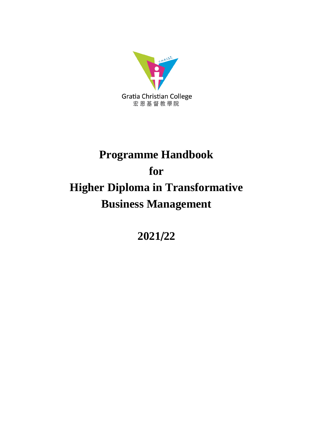

# **Programme Handbook for Higher Diploma in Transformative Business Management**

**2021**/**22**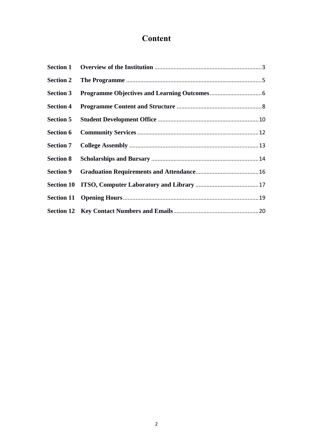# **Content**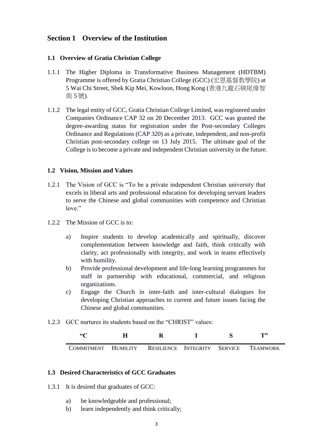## <span id="page-2-0"></span>**Section 1 Overview of the Institution**

#### **1.1 Overview of Gratia Christian College**

- 1.1.1 The Higher Diploma in Transformative Business Management (HDTBM) Programme is offered by Gratia Christian College (GCC) (宏恩基督教學院) at 5 Wai Chi Street, Shek Kip Mei, Kowloon, Hong Kong (香港九龍石硤尾偉智 街 5 號).
- 1.1.2 The legal entity of GCC, Gratia Christian College Limited, was registered under Companies Ordinance CAP 32 on 20 December 2013. GCC was granted the degree-awarding status for registration under the Post-secondary Colleges Ordinance and Regulations (CAP 320) as a private, independent, and non-profit Christian post-secondary college on 13 July 2015. The ultimate goal of the College is to become a private and independent Christian university in the future.

#### **1.2 Vision, Mission and Values**

- 1.2.1 The Vision of GCC is "To be a private independent Christian university that excels in liberal arts and professional education for developing servant leaders to serve the Chinese and global communities with competence and Christian love"
- 1.2.2 The Mission of GCC is to:
	- a) Inspire students to develop academically and spiritually, discover complementation between knowledge and faith, think critically with clarity, act professionally with integrity, and work in teams effectively with humility.
	- b) Provide professional development and life-long learning programmes for staff in partnership with educational, commercial, and religious organizations.
	- c) Engage the Church in inter-faith and inter-cultural dialogues for developing Christian approaches to current and future issues facing the Chinese and global communities.
- 1.2.3 GCC nurtures its students based on the "CHRIST" values:

| 66C                 |                              |  | T <sub>22</sub> |
|---------------------|------------------------------|--|-----------------|
| COMMITMENT HUMILITY | RESILIENCE INTEGRITY SERVICE |  | TEAMWORK        |

#### **1.3 Desired Characteristics of GCC Graduates**

- 1.3.1 It is desired that graduates of GCC:
	- a) be knowledgeable and professional;
	- b) learn independently and think critically;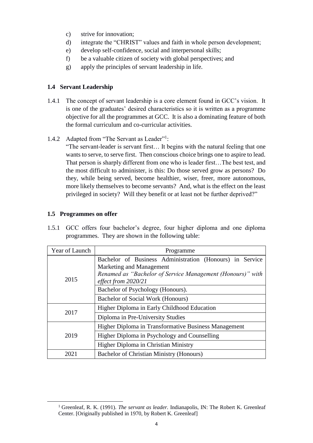- c) strive for innovation;
- d) integrate the "CHRIST" values and faith in whole person development;
- e) develop self-confidence, social and interpersonal skills;
- f) be a valuable citizen of society with global perspectives; and
- g) apply the principles of servant leadership in life.

#### **1.4 Servant Leadership**

- 1.4.1 The concept of servant leadership is a core element found in GCC's vision. It is one of the graduates' desired characteristics so it is written as a programme objective for all the programmes at GCC. It is also a dominating feature of both the formal curriculum and co-curricular activities.
- 1.4.2 Adapted from "The Servant as Leader"<sup>1</sup>:

"The servant-leader is servant first… It begins with the natural feeling that one wants to serve, to serve first. Then conscious choice brings one to aspire to lead. That person is sharply different from one who is leader first…The best test, and the most difficult to administer, is this: Do those served grow as persons? Do they, while being served, become healthier, wiser, freer, more autonomous, more likely themselves to become servants? And, what is the effect on the least privileged in society? Will they benefit or at least not be further deprived?"

#### **1.5 Programmes on offer**

-

1.5.1 GCC offers four bachelor's degree, four higher diploma and one diploma programmes. They are shown in the following table:

| Year of Launch | Programme                                                                                                                                                                 |  |  |
|----------------|---------------------------------------------------------------------------------------------------------------------------------------------------------------------------|--|--|
| 2015           | Bachelor of Business Administration (Honours) in Service<br>Marketing and Management<br>Renamed as "Bachelor of Service Management (Honours)" with<br>effect from 2020/21 |  |  |
|                | Bachelor of Psychology (Honours).                                                                                                                                         |  |  |
|                | Bachelor of Social Work (Honours)                                                                                                                                         |  |  |
| 2017           | Higher Diploma in Early Childhood Education                                                                                                                               |  |  |
|                | Diploma in Pre-University Studies                                                                                                                                         |  |  |
|                | Higher Diploma in Transformative Business Management                                                                                                                      |  |  |
| 2019           | Higher Diploma in Psychology and Counselling                                                                                                                              |  |  |
|                | Higher Diploma in Christian Ministry                                                                                                                                      |  |  |
| 2021           | Bachelor of Christian Ministry (Honours)                                                                                                                                  |  |  |

<sup>&</sup>lt;sup>1</sup> Greenleaf, R. K. (1991). *The servant as leader*. Indianapolis, IN: The Robert K. Greenleaf Center. [Originally published in 1970, by Robert K. Greenleaf]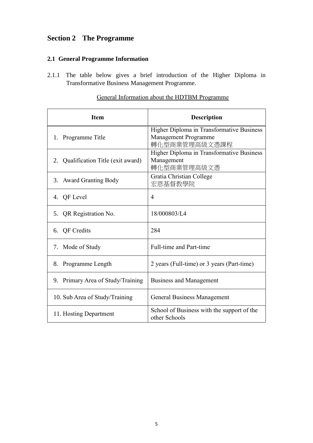## <span id="page-4-0"></span>**Section 2 The Programme**

## **2.1 General Programme Information**

2.1.1 The table below gives a brief introduction of the Higher Diploma in Transformative Business Management Programme.

| <b>Item</b>                         | <b>Description</b>                                                                 |
|-------------------------------------|------------------------------------------------------------------------------------|
| 1. Programme Title                  | Higher Diploma in Transformative Business<br>Management Programme<br>轉化型商業管理高級文憑課程 |
| 2. Qualification Title (exit award) | Higher Diploma in Transformative Business<br>Management<br>轉化型商業管理高級文憑             |
| 3. Award Granting Body              | Gratia Christian College<br>宏恩基督教學院                                                |
| 4. QF Level                         | 4                                                                                  |
| 5. QR Registration No.              | 18/000803/L4                                                                       |
| 6. QF Credits                       | 284                                                                                |
| 7. Mode of Study                    | Full-time and Part-time                                                            |
| 8. Programme Length                 | 2 years (Full-time) or 3 years (Part-time)                                         |
| 9. Primary Area of Study/Training   | <b>Business and Management</b>                                                     |
| 10. Sub Area of Study/Training      | <b>General Business Management</b>                                                 |
| 11. Hosting Department              | School of Business with the support of the<br>other Schools                        |

## General Information about the HDTBM Programme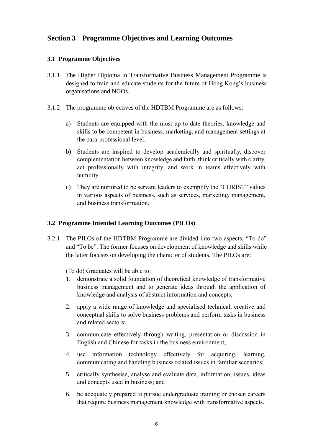## <span id="page-5-0"></span>**Section 3 Programme Objectives and Learning Outcomes**

#### **3.1 Programme Objectives**

- 3.1.1 The Higher Diploma in Transformative Business Management Programme is designed to train and educate students for the future of Hong Kong's business organisations and NGOs.
- 3.1.2 The programme objectives of the HDTBM Programme are as follows:
	- a) Students are equipped with the most up-to-date theories, knowledge and skills to be competent in business, marketing, and management settings at the para-professional level.
	- b) Students are inspired to develop academically and spiritually, discover complementation between knowledge and faith, think critically with clarity, act professionally with integrity, and work in teams effectively with humility.
	- c) They are nurtured to be servant leaders to exemplify the "CHRIST" values in various aspects of business, such as services, marketing, management, and business transformation.

#### **3.2 Programme Intended Learning Outcomes (PILOs)**

3.2.1 The PILOs of the HDTBM Programme are divided into two aspects, "To do" and "To be". The former focuses on development of knowledge and skills while the latter focuses on developing the character of students. The PILOs are:

(To do) Graduates will be able to:

- 1. demonstrate a solid foundation of theoretical knowledge of transformative business management and to generate ideas through the application of knowledge and analysis of abstract information and concepts;
- 2. apply a wide range of knowledge and specialised technical, creative and conceptual skills to solve business problems and perform tasks in business and related sectors;
- 3. communicate effectively through writing, presentation or discussion in English and Chinese for tasks in the business environment;
- 4. use information technology effectively for acquiring, learning, communicating and handling business related issues in familiar scenarios;
- 5. critically synthesise, analyse and evaluate data, information, issues, ideas and concepts used in business; and
- 6. be adequately prepared to pursue undergraduate training or chosen careers that require business management knowledge with transformative aspects.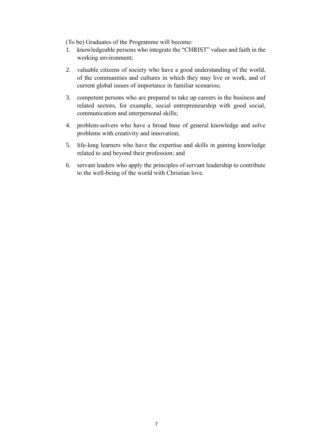(To be) Graduates of the Programme will become:

- 1. knowledgeable persons who integrate the "CHRIST" values and faith in the working environment;
- 2. valuable citizens of society who have a good understanding of the world, of the communities and cultures in which they may live or work, and of current global issues of importance in familiar scenarios;
- 3. competent persons who are prepared to take up careers in the business and related sectors, for example, social entrepreneurship with good social, communication and interpersonal skills;
- 4. problem-solvers who have a broad base of general knowledge and solve problems with creativity and innovation;
- 5. life-long learners who have the expertise and skills in gaining knowledge related to and beyond their profession; and
- 6. servant leaders who apply the principles of servant leadership to contribute to the well-being of the world with Christian love.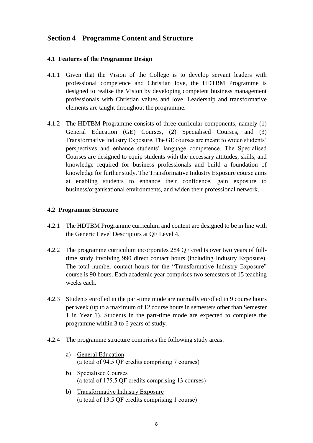## <span id="page-7-0"></span>**Section 4 Programme Content and Structure**

#### **4.1 Features of the Programme Design**

- 4.1.1 Given that the Vision of the College is to develop servant leaders with professional competence and Christian love, the HDTBM Programme is designed to realise the Vision by developing competent business management professionals with Christian values and love. Leadership and transformative elements are taught throughout the programme.
- 4.1.2 The HDTBM Programme consists of three curricular components, namely (1) General Education (GE) Courses, (2) Specialised Courses, and (3) Transformative Industry Exposure. The GE courses are meant to widen students' perspectives and enhance students' language competence. The Specialised Courses are designed to equip students with the necessary attitudes, skills, and knowledge required for business professionals and build a foundation of knowledge for further study. The Transformative Industry Exposure course aims at enabling students to enhance their confidence, gain exposure to business/organisational environments, and widen their professional network.

#### **4.2 Programme Structure**

- 4.2.1 The HDTBM Programme curriculum and content are designed to be in line with the Generic Level Descriptors at QF Level 4.
- 4.2.2 The programme curriculum incorporates 284 QF credits over two years of fulltime study involving 990 direct contact hours (including Industry Exposure). The total number contact hours for the "Transformative Industry Exposure" course is 90 hours. Each academic year comprises two semesters of 15 teaching weeks each.
- 4.2.3 Students enrolled in the part-time mode are normally enrolled in 9 course hours per week (up to a maximum of 12 course hours in semesters other than Semester 1 in Year 1). Students in the part-time mode are expected to complete the programme within 3 to 6 years of study.
- 4.2.4 The programme structure comprises the following study areas:
	- a) General Education (a total of 94.5 QF credits comprising 7 courses)
	- b) Specialised Courses (a total of 175.5 QF credits comprising 13 courses)
	- b) Transformative Industry Exposure (a total of 13.5 QF credits comprising 1 course)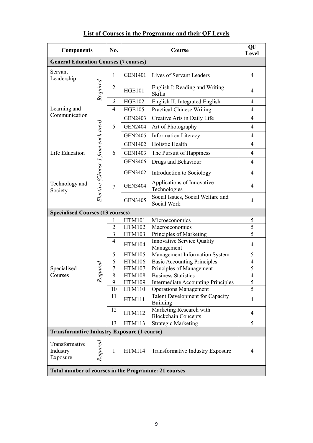# **List of Courses in the Programme and their QF Levels**

| <b>Components</b>                                    |                                    | No.            | Course                                                   |                                                       | QF<br>Level             |   |
|------------------------------------------------------|------------------------------------|----------------|----------------------------------------------------------|-------------------------------------------------------|-------------------------|---|
| <b>General Education Courses (7 courses)</b>         |                                    |                |                                                          |                                                       |                         |   |
| Servant<br>Leadership                                | 1                                  |                | <b>GEN1401</b>                                           | Lives of Servant Leaders                              | $\overline{4}$          |   |
|                                                      | Required                           | $\overline{2}$ | <b>HGE101</b>                                            | English I: Reading and Writing<br><b>Skills</b>       | 4                       |   |
|                                                      |                                    | 3              | <b>HGE102</b>                                            | English II: Integrated English                        | 4                       |   |
| Learning and                                         |                                    | $\overline{4}$ | <b>HGE105</b>                                            | <b>Practical Chinese Writing</b>                      | $\overline{4}$          |   |
| Communication                                        |                                    |                | <b>GEN2403</b>                                           | Creative Arts in Daily Life                           | 4                       |   |
|                                                      |                                    | 5              | <b>GEN2404</b>                                           | Art of Photography                                    | $\overline{4}$          |   |
|                                                      |                                    |                | <b>GEN2405</b>                                           | <b>Information Literacy</b>                           | $\overline{4}$          |   |
|                                                      |                                    |                | <b>GEN1402</b>                                           | Holistic Health                                       | $\overline{4}$          |   |
| Life Education                                       |                                    | 6              | <b>GEN1403</b>                                           | The Pursuit of Happiness                              | 4                       |   |
|                                                      |                                    |                | <b>GEN3406</b>                                           | Drugs and Behaviour                                   | 4                       |   |
|                                                      |                                    |                | <b>GEN3402</b>                                           | Introduction to Sociology                             | 4                       |   |
| Technology and<br>Society                            | Elective (Choose 1 from each area) | $\tau$         | <b>GEN3404</b>                                           | Applications of Innovative<br>Technologies            | 4                       |   |
|                                                      |                                    |                | <b>GEN3405</b>                                           | Social Issues, Social Welfare and<br>Social Work      | 4                       |   |
| <b>Specialised Courses (13 courses)</b>              |                                    |                |                                                          |                                                       |                         |   |
|                                                      |                                    | 1              | <b>HTM101</b>                                            | Microeconomics                                        | 5                       |   |
|                                                      |                                    | $\overline{2}$ | <b>HTM102</b>                                            | Macroeconomics                                        | $\overline{5}$          |   |
|                                                      |                                    |                | 3                                                        | <b>HTM103</b>                                         | Principles of Marketing | 5 |
|                                                      |                                    | $\overline{4}$ | <b>HTM104</b>                                            | <b>Innovative Service Quality</b><br>Management       | $\overline{4}$          |   |
|                                                      |                                    | 5              | <b>HTM105</b>                                            | Management Information System                         | 5                       |   |
|                                                      |                                    | 6              | <b>HTM106</b>                                            | <b>Basic Accounting Principles</b>                    | $\overline{4}$          |   |
| Specialised                                          | lequired                           | 7              | <b>HTM107</b>                                            | Principles of Management                              | 5                       |   |
| Courses                                              |                                    | 8              | <b>HTM108</b>                                            | <b>Business Statistics</b>                            | $\overline{4}$          |   |
|                                                      | R                                  | 9              | <b>HTM109</b>                                            | <b>Intermediate Accounting Principles</b>             | 5                       |   |
|                                                      |                                    | 10             | <b>HTM110</b>                                            | <b>Operations Management</b>                          | $\overline{5}$          |   |
|                                                      |                                    | 11             | <b>HTM111</b>                                            | Talent Development for Capacity<br><b>Building</b>    | 4                       |   |
|                                                      |                                    | 12             | <b>HTM112</b>                                            | Marketing Research with<br><b>Blockchain Concepts</b> | 4                       |   |
|                                                      |                                    | 13             | <b>HTM113</b>                                            | <b>Strategic Marketing</b>                            | 5                       |   |
| <b>Transformative Industry Exposure (1 course)</b>   |                                    |                |                                                          |                                                       |                         |   |
| Transformative<br>Industry<br>Exposure               | Required                           | $\mathbf{1}$   | <b>HTM114</b><br><b>Transformative Industry Exposure</b> |                                                       | 4                       |   |
| Total number of courses in the Programme: 21 courses |                                    |                |                                                          |                                                       |                         |   |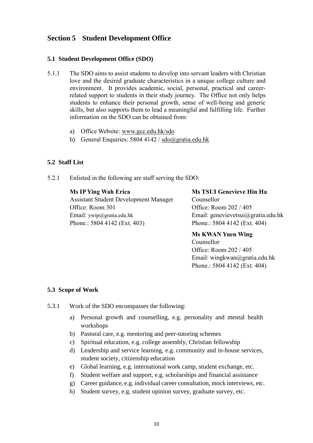## <span id="page-9-0"></span>**Section 5 Student Development Office**

#### **5.1 Student Development Office (SDO)**

- 5.1.1 The SDO aims to assist students to develop into servant leaders with Christian love and the desired graduate characteristics in a unique college culture and environment. It provides academic, social, personal, practical and careerrelated support to students in their study journey. The Office not only helps students to enhance their personal growth, sense of well-being and generic skills, but also supports them to lead a meaningful and fulfilling life. Further information on the SDO can be obtained from:
	- a) Office Website: www.gcc.edu.hk/sdo
	- b) General Enquiries: 5804 4142 /  $sdo@gratia.edu.hk$

#### **5.2 Staff List**

5.2.1 Enlisted in the following are staff serving the SDO:

#### **Ms IP Ying Wah Erica**

Assistant Student Development Manager Office: Room 301 Email: ywip@gratia.edu.hk Phone.: 5804 4142 (Ext. 403)

**Ms TSUI Genevieve Hin Ha** Counsellor Office: Room 202 / 405 Email: genevievetsui@gratia.edu.hk Phone.: 5804 4142 (Ext. 404)

**Ms KWAN Yuen Wing** Counsellor Office: Room 202 / 405 Email: wingkwan@gratia.edu.hk Phone.: 5804 4142 (Ext. 404)

#### **5.3 Scope of Work**

- 5.3.1 Work of the SDO encompasses the following:
	- a) Personal growth and counselling, e.g. personality and mental health workshops
	- b) Pastoral care, e.g. mentoring and peer-tutoring schemes
	- c) Spiritual education, e.g. college assembly, Christian fellowship
	- d) Leadership and service learning, e.g. community and in-house services, student society, citizenship education
	- e) Global learning, e.g. international work camp, student exchange, etc.
	- f) Student welfare and support, e.g. scholarships and financial assistance
	- g) Career guidance, e.g. individual career consultation, mock interviews, etc.
	- h) Student survey, e.g. student opinion survey, graduate survey, etc.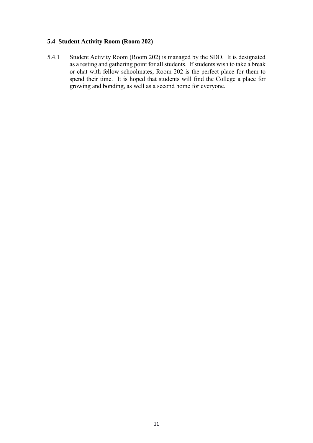#### **5.4 Student Activity Room (Room 202)**

5.4.1 Student Activity Room (Room 202) is managed by the SDO. It is designated as a resting and gathering point for all students. If students wish to take a break or chat with fellow schoolmates, Room 202 is the perfect place for them to spend their time. It is hoped that students will find the College a place for growing and bonding, as well as a second home for everyone.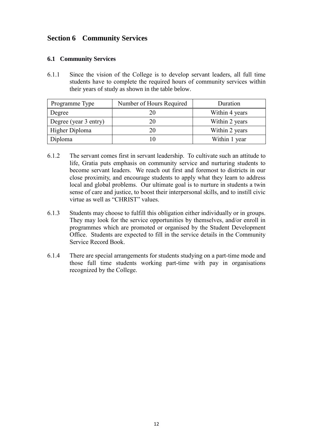## <span id="page-11-0"></span>**Section 6 Community Services**

#### **6.1 Community Services**

6.1.1 Since the vision of the College is to develop servant leaders, all full time students have to complete the required hours of community services within their years of study as shown in the table below.

| Programme Type        | Number of Hours Required | Duration       |
|-----------------------|--------------------------|----------------|
| Degree                | 20                       | Within 4 years |
| Degree (year 3 entry) |                          | Within 2 years |
| Higher Diploma        | 20                       | Within 2 years |
| Diploma               |                          | Within 1 year  |

- 6.1.2 The servant comes first in servant leadership. To cultivate such an attitude to life, Gratia puts emphasis on community service and nurturing students to become servant leaders. We reach out first and foremost to districts in our close proximity, and encourage students to apply what they learn to address local and global problems. Our ultimate goal is to nurture in students a twin sense of care and justice, to boost their interpersonal skills, and to instill civic virtue as well as "CHRIST" values.
- 6.1.3 Students may choose to fulfill this obligation either individually or in groups. They may look for the service opportunities by themselves, and/or enroll in programmes which are promoted or organised by the Student Development Office. Students are expected to fill in the service details in the Community Service Record Book.
- 6.1.4 There are special arrangements for students studying on a part-time mode and those full time students working part-time with pay in organisations recognized by the College.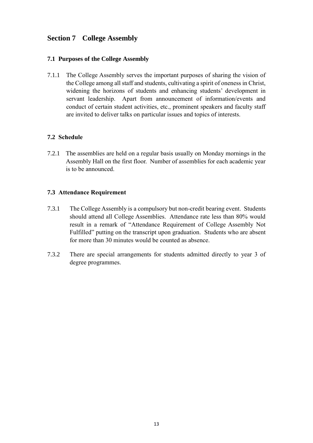## <span id="page-12-0"></span>**Section 7 College Assembly**

#### **7.1 Purposes of the College Assembly**

7.1.1 The College Assembly serves the important purposes of sharing the vision of the College among all staff and students, cultivating a spirit of oneness in Christ, widening the horizons of students and enhancing students' development in servant leadership. Apart from announcement of information/events and conduct of certain student activities, etc., prominent speakers and faculty staff are invited to deliver talks on particular issues and topics of interests.

#### **7.2 Schedule**

7.2.1 The assemblies are held on a regular basis usually on Monday mornings in the Assembly Hall on the first floor. Number of assemblies for each academic year is to be announced.

#### **7.3 Attendance Requirement**

- 7.3.1 The College Assembly is a compulsory but non-credit bearing event. Students should attend all College Assemblies. Attendance rate less than 80% would result in a remark of "Attendance Requirement of College Assembly Not Fulfilled" putting on the transcript upon graduation. Students who are absent for more than 30 minutes would be counted as absence.
- 7.3.2 There are special arrangements for students admitted directly to year 3 of degree programmes.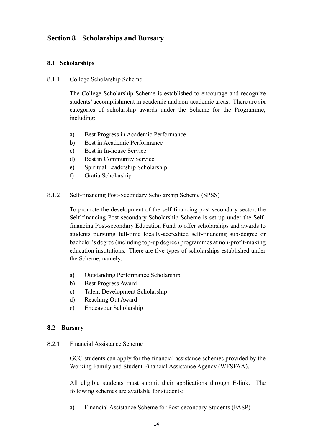## <span id="page-13-0"></span>**Section 8 Scholarships and Bursary**

#### **8.1 Scholarships**

#### 8.1.1 College Scholarship Scheme

The College Scholarship Scheme is established to encourage and recognize students' accomplishment in academic and non-academic areas. There are six categories of scholarship awards under the Scheme for the Programme, including:

- a) Best Progress in Academic Performance
- b) Best in Academic Performance
- c) Best in In-house Service
- d) Best in Community Service
- e) Spiritual Leadership Scholarship
- f) Gratia Scholarship

#### 8.1.2 Self-financing Post-Secondary Scholarship Scheme (SPSS)

To promote the development of the self-financing post-secondary sector, the Self-financing Post-secondary Scholarship Scheme is set up under the Selffinancing Post-secondary Education Fund to offer scholarships and awards to students pursuing full-time locally-accredited self-financing sub-degree or bachelor's degree (including top-up degree) programmes at non-profit-making education institutions. There are five types of scholarships established under the Scheme, namely:

- a) Outstanding Performance Scholarship
- b) Best Progress Award
- c) Talent Development Scholarship
- d) Reaching Out Award
- e) Endeavour Scholarship

#### **8.2 Bursary**

#### 8.2.1 Financial Assistance Scheme

GCC students can apply for the financial assistance schemes provided by the [Working Family and Student Financial Assistance Agency \(WFSFAA\).](http://www.wfsfaa.gov.hk/)

All eligible students must submit their applications through [E-link.](http://www.wfsfaa.gov.hk/sfo/en/elink/elink.htm) The following schemes are available for students:

a) Financial Assistance Scheme for Post-secondary Students (FASP)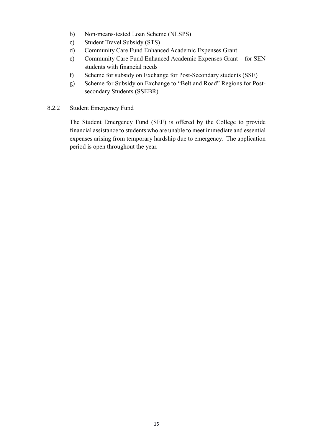- b) Non-means-tested Loan Scheme (NLSPS)
- c) Student Travel Subsidy (STS)
- d) Community Care Fund Enhanced Academic Expenses Grant
- e) Community Care Fund Enhanced Academic Expenses Grant for SEN students with financial needs
- f) Scheme for subsidy on Exchange for Post-Secondary students (SSE)
- g) Scheme for Subsidy on Exchange to "Belt and Road" Regions for Postsecondary Students (SSEBR)

#### 8.2.2 Student Emergency Fund

The Student Emergency Fund (SEF) is offered by the College to provide financial assistance to students who are unable to meet immediate and essential expenses arising from temporary hardship due to emergency. The application period is open throughout the year.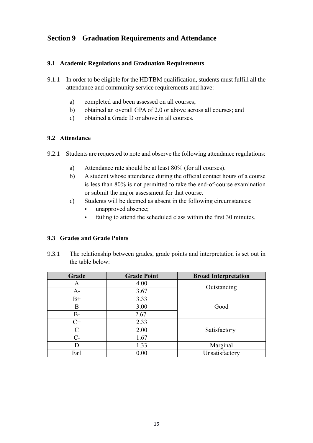## <span id="page-15-0"></span>**Section 9 Graduation Requirements and Attendance**

#### **9.1 Academic Regulations and Graduation Requirements**

- 9.1.1 In order to be eligible for the HDTBM qualification, students must fulfill all the attendance and community service requirements and have:
	- a) completed and been assessed on all courses;
	- b) obtained an overall GPA of 2.0 or above across all courses; and
	- c) obtained a Grade D or above in all courses.

#### **9.2 Attendance**

- 9.2.1 Students are requested to note and observe the following attendance regulations:
	- a) Attendance rate should be at least 80% (for all courses).
	- b) A student whose attendance during the official contact hours of a course is less than 80% is not permitted to take the end-of-course examination or submit the major assessment for that course.
	- c) Students will be deemed as absent in the following circumstances:
		- unapproved absence;
		- failing to attend the scheduled class within the first 30 minutes.

#### **9.3 Grades and Grade Points**

9.3.1 The relationship between grades, grade points and interpretation is set out in the table below:

| Grade         | <b>Grade Point</b> | <b>Broad Interpretation</b> |
|---------------|--------------------|-----------------------------|
| Α             | 4.00               | Outstanding                 |
| $A-$          | 3.67               |                             |
| $B+$          | 3.33               |                             |
| В             | 3.00               | Good                        |
| $B-$          | 2.67               |                             |
| $C+$          | 2.33               |                             |
| $\mathcal{C}$ | 2.00               | Satisfactory                |
| $C-$          | 1.67               |                             |
| D             | 1.33               | Marginal                    |
| Fail          | 0.00               | Unsatisfactory              |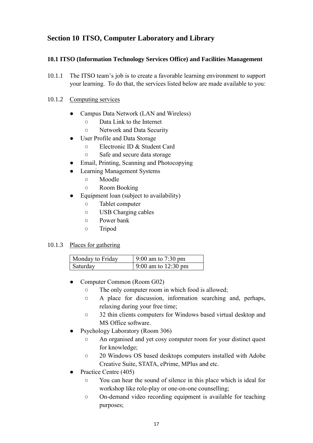## <span id="page-16-0"></span>**Section 10 ITSO, Computer Laboratory and Library**

#### **10.1 ITSO (Information Technology Services Office) and Facilities Management**

10.1.1 The ITSO team's job is to create a favorable learning environment to support your learning. To do that, the services listed below are made available to you:

#### 10.1.2 Computing services

- Campus Data Network (LAN and Wireless)
	- Data Link to the Internet
	- Network and Data Security
- User Profile and Data Storage
	- Electronic ID & Student Card
	- Safe and secure data storage
- Email, Printing, Scanning and Photocopying
- **Learning Management Systems** 
	- Moodle
	- Room Booking
- Equipment loan (subject to availability)
	- Tablet computer
	- USB Charging cables
	- Power bank
	- Tripod

#### 10.1.3 Places for gathering

| Monday to Friday | 9:00 am to $7:30 \text{ pm}$  |
|------------------|-------------------------------|
| Saturday         | 9:00 am to $12:30 \text{ pm}$ |

- Computer Common (Room G02)
	- The only computer room in which food is allowed;
	- A place for discussion, information searching and, perhaps, relaxing during your free time;
	- 32 thin clients computers for Windows based virtual desktop and MS Office software.
- Psychology Laboratory (Room 306)
	- An organised and yet cosy computer room for your distinct quest for knowledge;
	- 20 Windows OS based desktops computers installed with Adobe Creative Suite, STATA, ePrime, MPlus and etc.
- Practice Centre (405)
	- You can hear the sound of silence in this place which is ideal for workshop like role-play or one-on-one counselling;
	- On-demand video recording equipment is available for teaching purposes;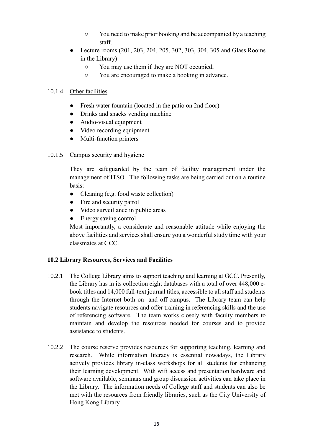- You need to make prior booking and be accompanied by a teaching staff.
- Lecture rooms (201, 203, 204, 205, 302, 303, 304, 305 and Glass Rooms in the Library)
	- You may use them if they are NOT occupied;
	- You are encouraged to make a booking in advance.

#### 10.1.4 Other facilities

- Fresh water fountain (located in the patio on 2nd floor)
- Drinks and snacks vending machine
- Audio-visual equipment
- Video recording equipment
- Multi-function printers

#### 10.1.5 Campus security and hygiene

They are safeguarded by the team of facility management under the management of ITSO. The following tasks are being carried out on a routine basis:

- Cleaning (e.g. food waste collection)
- Fire and security patrol
- Video surveillance in public areas
- Energy saving control

Most importantly, a considerate and reasonable attitude while enjoying the above facilities and services shall ensure you a wonderful study time with your classmates at GCC.

#### **10.2 Library Resources, Services and Facilities**

- 10.2.1 The College Library aims to support teaching and learning at GCC. Presently, the Library has in its collection eight databases with a total of over 448,000 ebook titles and 14,000 full-text journal titles, accessible to all staff and students through the Internet both on- and off-campus. The Library team can help students navigate resources and offer training in referencing skills and the use of referencing software. The team works closely with faculty members to maintain and develop the resources needed for courses and to provide assistance to students.
- 10.2.2 The course reserve provides resources for supporting teaching, learning and research. While information literacy is essential nowadays, the Library actively provides library in-class workshops for all students for enhancing their learning development. With wifi access and presentation hardware and software available, seminars and group discussion activities can take place in the Library. The information needs of College staff and students can also be met with the resources from friendly libraries, such as the City University of Hong Kong Library.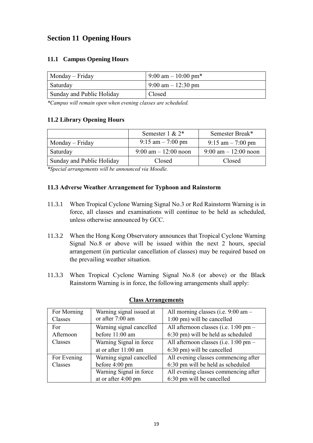## <span id="page-18-0"></span>**Section 11 Opening Hours**

#### **11.1 Campus Opening Hours**

| $Monday-Friday$           | $9:00 \text{ am} - 10:00 \text{ pm*}$ |  |
|---------------------------|---------------------------------------|--|
| Saturday                  | $9:00 \text{ am} - 12:30 \text{ pm}$  |  |
| Sunday and Public Holiday | Closed                                |  |

*\*Campus will remain open when evening classes are scheduled.*

#### **11.2 Library Opening Hours**

|                           | Semester 1 & $2^*$                     | Semester Break*                        |
|---------------------------|----------------------------------------|----------------------------------------|
| $Monday-Friday$           | $9:15$ am $-7:00$ pm                   | $9:15$ am $-7:00$ pm                   |
| Saturday                  | $9:00 \text{ am} - 12:00 \text{ noon}$ | $9:00 \text{ am} - 12:00 \text{ noon}$ |
| Sunday and Public Holiday | Closed                                 | Closed                                 |
|                           |                                        |                                        |

*\*Special arrangements will be announced via Moodle.*

#### **11.3 Adverse Weather Arrangement for Typhoon and Rainstorm**

- 11.3.1 When Tropical Cyclone Warning Signal No.3 or Red Rainstorm Warning is in force, all classes and examinations will continue to be held as scheduled, unless otherwise announced by GCC.
- 11.3.2 When the Hong Kong Observatory announces that Tropical Cyclone Warning Signal No.8 or above will be issued within the next 2 hours, special arrangement (in particular cancellation of classes) may be required based on the prevailing weather situation.
- 11.3.3 When Tropical Cyclone Warning Signal No.8 (or above) or the Black Rainstorm Warning is in force, the following arrangements shall apply:

| For Morning | Warning signal issued at | All morning classes (i.e. 9:00 am -   |
|-------------|--------------------------|---------------------------------------|
| Classes     | or after 7:00 am         | 1:00 pm) will be cancelled            |
| For         | Warning signal cancelled | All afternoon classes (i.e. 1:00 pm – |
| Afternoon   | before 11:00 am          | 6:30 pm) will be held as scheduled    |
| Classes     | Warning Signal in force  | All afternoon classes (i.e. 1:00 pm – |
|             | at or after 11:00 am     | 6:30 pm) will be cancelled            |
| For Evening | Warning signal cancelled | All evening classes commencing after  |
| Classes     | before 4:00 pm           | 6:30 pm will be held as scheduled     |
|             | Warning Signal in force  | All evening classes commencing after  |
|             | at or after 4:00 pm      | 6:30 pm will be cancelled             |

#### **Class Arrangements**